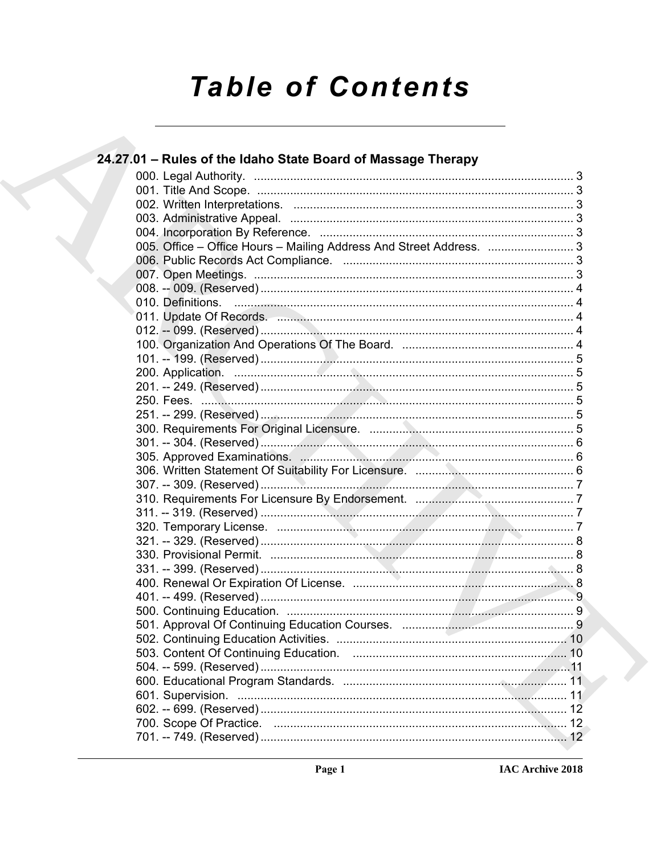# **Table of Contents**

| 24.27.01 - Rules of the Idaho State Board of Massage Therapy                                                   |  |
|----------------------------------------------------------------------------------------------------------------|--|
|                                                                                                                |  |
|                                                                                                                |  |
|                                                                                                                |  |
|                                                                                                                |  |
|                                                                                                                |  |
| 005. Office - Office Hours - Mailing Address And Street Address.  3                                            |  |
|                                                                                                                |  |
|                                                                                                                |  |
|                                                                                                                |  |
|                                                                                                                |  |
| 011. Update Of Records. 2008. 2008. 2009. 2011. 2012. 2014. 2014. 2015. 2016. 2016. 2016. 2017. 2018. 2019. 20 |  |
|                                                                                                                |  |
|                                                                                                                |  |
|                                                                                                                |  |
|                                                                                                                |  |
|                                                                                                                |  |
|                                                                                                                |  |
|                                                                                                                |  |
|                                                                                                                |  |
|                                                                                                                |  |
|                                                                                                                |  |
|                                                                                                                |  |
|                                                                                                                |  |
|                                                                                                                |  |
|                                                                                                                |  |
|                                                                                                                |  |
|                                                                                                                |  |
|                                                                                                                |  |
|                                                                                                                |  |
|                                                                                                                |  |
|                                                                                                                |  |
|                                                                                                                |  |
|                                                                                                                |  |
|                                                                                                                |  |
|                                                                                                                |  |
|                                                                                                                |  |
|                                                                                                                |  |
|                                                                                                                |  |
|                                                                                                                |  |
|                                                                                                                |  |
|                                                                                                                |  |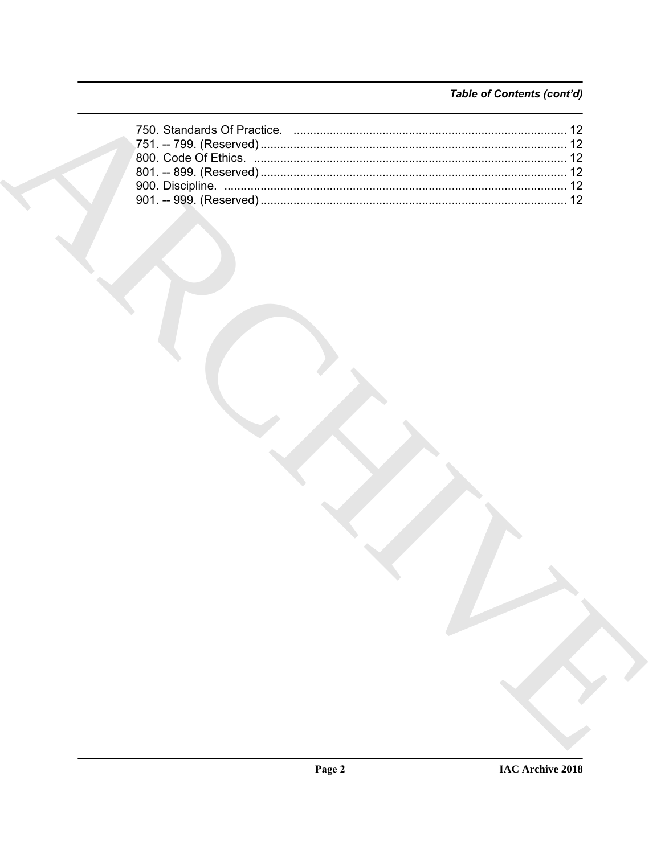# Table of Contents (cont'd)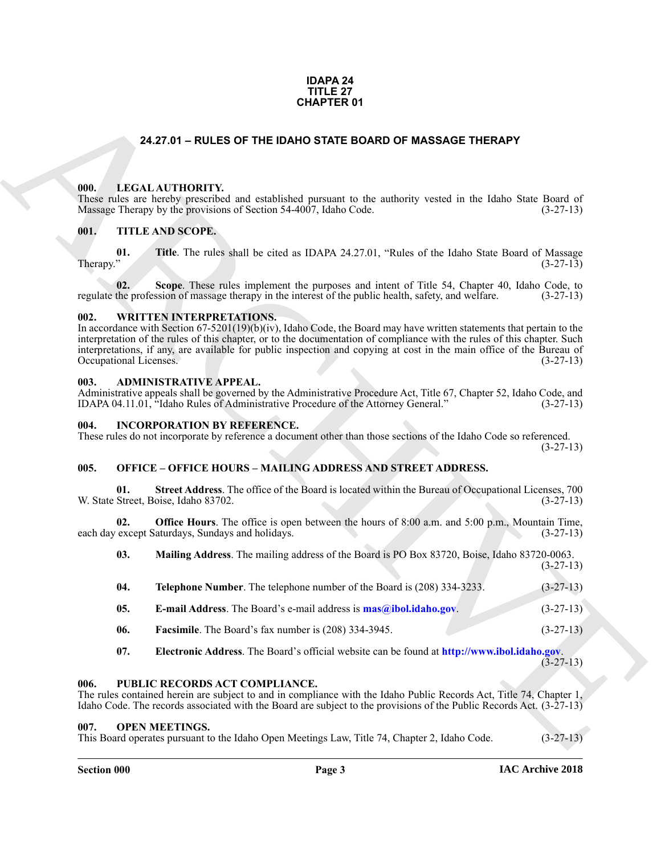#### **IDAPA 24 TITLE 27 CHAPTER 01**

#### **24.27.01 – RULES OF THE IDAHO STATE BOARD OF MASSAGE THERAPY**

#### <span id="page-2-11"></span><span id="page-2-1"></span><span id="page-2-0"></span>**000. LEGAL AUTHORITY.**

These rules are hereby prescribed and established pursuant to the authority vested in the Idaho State Board of Massage Therapy by the provisions of Section 54-4007, Idaho Code. (3-27-13)

#### <span id="page-2-15"></span><span id="page-2-2"></span>**001. TITLE AND SCOPE.**

**01.** Title. The rules shall be cited as IDAPA 24.27.01, "Rules of the Idaho State Board of Massage (3-27-13)  $\mu$ Therapy." (3-27-13)

**02.** Scope. These rules implement the purposes and intent of Title 54, Chapter 40, Idaho Code, to the profession of massage therapy in the interest of the public health, safety, and welfare. (3-27-13) regulate the profession of massage therapy in the interest of the public health, safety, and welfare.

#### <span id="page-2-16"></span><span id="page-2-3"></span>**002. WRITTEN INTERPRETATIONS.**

In accordance with Section 67-5201(19)(b)(iv), Idaho Code, the Board may have written statements that pertain to the interpretation of the rules of this chapter, or to the documentation of compliance with the rules of this chapter. Such interpretations, if any, are available for public inspection and copying at cost in the main office of the Bureau of Occupational Licenses. (3-27-13)

#### <span id="page-2-9"></span><span id="page-2-4"></span>**003. ADMINISTRATIVE APPEAL.**

Administrative appeals shall be governed by the Administrative Procedure Act, Title 67, Chapter 52, Idaho Code, and IDAPA 04.11.01, "Idaho Rules of Administrative Procedure of the Attorney General." (3-27-13)

#### <span id="page-2-10"></span><span id="page-2-5"></span>**004. INCORPORATION BY REFERENCE.**

These rules do not incorporate by reference a document other than those sections of the Idaho Code so referenced. (3-27-13)

#### <span id="page-2-12"></span><span id="page-2-6"></span>**005. OFFICE – OFFICE HOURS – MAILING ADDRESS AND STREET ADDRESS.**

**01. Street Address**. The office of the Board is located within the Bureau of Occupational Licenses, 700 W. State Street, Boise, Idaho 83702. (3-27-13)

**02. Office Hours**. The office is open between the hours of 8:00 a.m. and 5:00 p.m., Mountain Time, each day except Saturdays, Sundays and holidays. (3-27-13)

**CHAPTER 01**<br> **CHAPTER 01**<br> **CHAPTER DOATO STATE BOARD OF MASSAGE THERAPY**<br> **CHAPTER 2018**<br> **CHAPTER 2018 CONFIGURATION** and considered presents in the analogie vessed in the Idaho Sam Board of<br> **CHAPTER 2018 SCOPE**<br> **CHA 03. Mailing Address**. The mailing address of the Board is PO Box 83720, Boise, Idaho 83720-0063. (3-27-13) **04. Telephone Number**. The telephone number of the Board is (208) 334-3233. (3-27-13) **05. E-mail Address**. The Board's e-mail address is **mas@ibol.idaho.gov**. (3-27-13) **06. Facsimile**. The Board's fax number is (208) 334-3945. (3-27-13) **07. Electronic Address**. The Board's official website can be found at **http://www.ibol.idaho.gov**.

(3-27-13)

#### <span id="page-2-14"></span><span id="page-2-7"></span>**006. PUBLIC RECORDS ACT COMPLIANCE.**

The rules contained herein are subject to and in compliance with the Idaho Public Records Act, Title 74, Chapter 1, Idaho Code. The records associated with the Board are subject to the provisions of the Public Records Act. (3-27-13)

#### <span id="page-2-13"></span><span id="page-2-8"></span>**007. OPEN MEETINGS.**

This Board operates pursuant to the Idaho Open Meetings Law, Title 74, Chapter 2, Idaho Code. (3-27-13)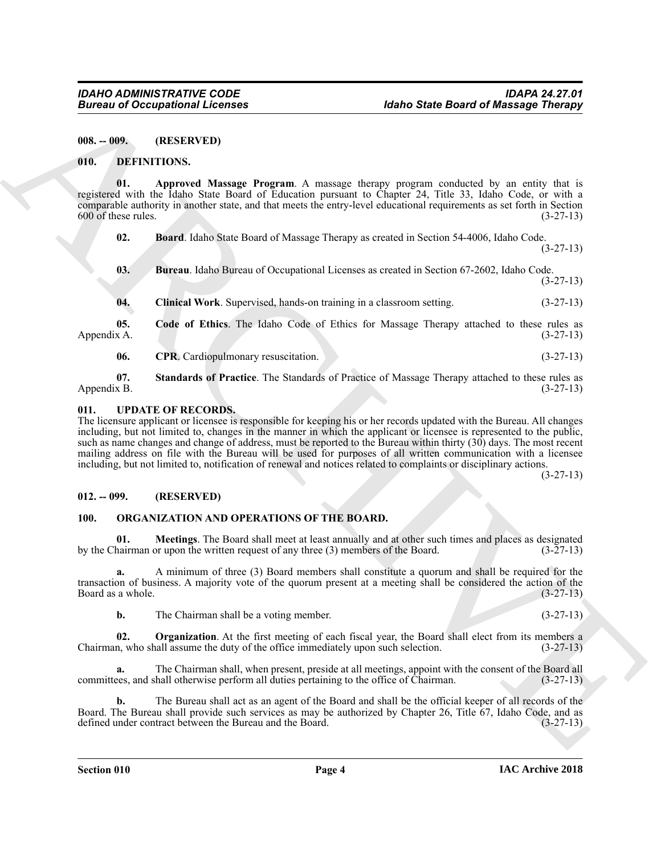<span id="page-3-0"></span>**008. -- 009. (RESERVED)**

#### <span id="page-3-5"></span><span id="page-3-1"></span>**010. DEFINITIONS.**

**01. Approved Massage Program**. A massage therapy program conducted by an entity that is registered with the Idaho State Board of Education pursuant to Chapter 24, Title 33, Idaho Code, or with a comparable authority in another state, and that meets the entry-level educational requirements as set forth in Section  $600$  of these rules.  $(3-27-13)$ 

<span id="page-3-7"></span><span id="page-3-6"></span>**02. Board**. Idaho State Board of Massage Therapy as created in Section 54-4006, Idaho Code.

<span id="page-3-8"></span>**03. Bureau**. Idaho Bureau of Occupational Licenses as created in Section 67-2602, Idaho Code. (3-27-13)

<span id="page-3-10"></span><span id="page-3-9"></span>**04. Clinical Work**. Supervised, hands-on training in a classroom setting. (3-27-13)

**05. Code of Ethics**. The Idaho Code of Ethics for Massage Therapy attached to these rules as  $\Delta$ ppendix A. (3-27-13)

<span id="page-3-12"></span><span id="page-3-11"></span>**06.** CPR. Cardiopulmonary resuscitation. (3-27-13)

**07. Standards of Practice**. The Standards of Practice of Massage Therapy attached to these rules as Appendix B. (3-27-13)

### <span id="page-3-16"></span><span id="page-3-2"></span>**011. UPDATE OF RECORDS.**

**Eurosis of Occupations I. Leonards**<br> **EULA 1992-1993**<br> **EULA 1992-1993**<br> **EULA 1992-1993-1994**<br> **EULA 1992-1994**<br> **EULA 1992-1994**<br> **EULA 1992-1994**<br> **EULA 1992-1994**<br> **EULA 1992-1994**<br> **EULA 1992-1994**<br> **EULA 1992-1994** The licensure applicant or licensee is responsible for keeping his or her records updated with the Bureau. All changes including, but not limited to, changes in the manner in which the applicant or licensee is represented to the public, such as name changes and change of address, must be reported to the Bureau within thirty (30) days. The most recent mailing address on file with the Bureau will be used for purposes of all written communication with a licensee including, but not limited to, notification of renewal and notices related to complaints or disciplinary actions.

(3-27-13)

(3-27-13)

#### <span id="page-3-3"></span>**012. -- 099. (RESERVED)**

#### <span id="page-3-14"></span><span id="page-3-13"></span><span id="page-3-4"></span>**100. ORGANIZATION AND OPERATIONS OF THE BOARD.**

**01. Meetings**. The Board shall meet at least annually and at other such times and places as designated hairman or upon the written request of any three (3) members of the Board. (3-27-13) by the Chairman or upon the written request of any three  $(3)$  members of the Board.

**a.** A minimum of three (3) Board members shall constitute a quorum and shall be required for the transaction of business. A majority vote of the quorum present at a meeting shall be considered the action of the Board as a whole.

<span id="page-3-15"></span>**b.** The Chairman shall be a voting member. (3-27-13)

**02. Organization**. At the first meeting of each fiscal year, the Board shall elect from its members a Chairman, who shall assume the duty of the office immediately upon such selection.  $(3-27-13)$ 

**a.** The Chairman shall, when present, preside at all meetings, appoint with the consent of the Board all committees, and shall otherwise perform all duties pertaining to the office of Chairman. (3-27-13)

**b.** The Bureau shall act as an agent of the Board and shall be the official keeper of all records of the Board. The Bureau shall provide such services as may be authorized by Chapter 26, Title 67, Idaho Code, and as defined under contract between the Bureau and the Board. (3-27-13) defined under contract between the Bureau and the Board.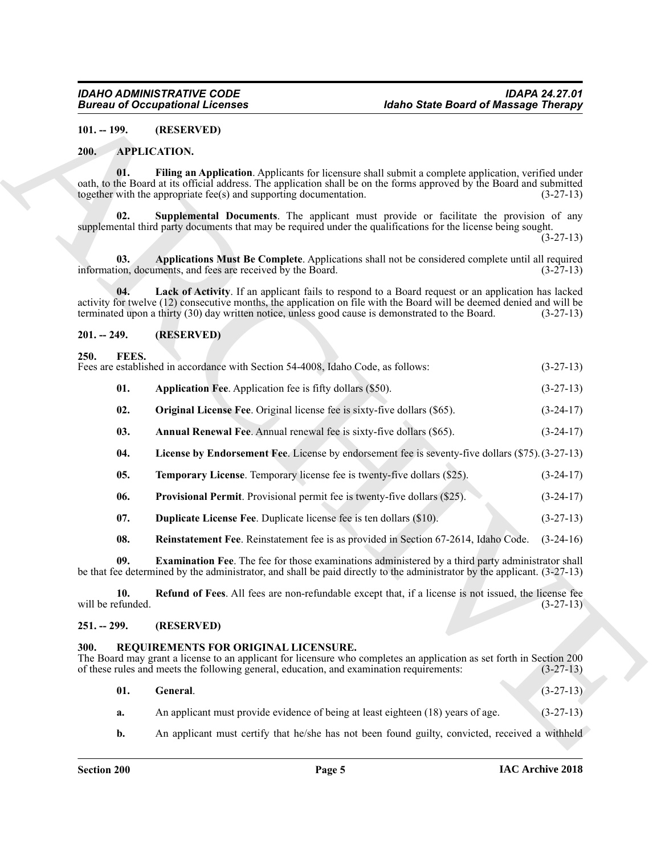#### <span id="page-4-6"></span><span id="page-4-0"></span>**101. -- 199. (RESERVED)**

#### <span id="page-4-10"></span><span id="page-4-8"></span><span id="page-4-1"></span>**200. APPLICATION.**

#### <span id="page-4-9"></span><span id="page-4-7"></span><span id="page-4-2"></span>**201. -- 249. (RESERVED)**

#### <span id="page-4-21"></span><span id="page-4-18"></span><span id="page-4-17"></span><span id="page-4-16"></span><span id="page-4-13"></span><span id="page-4-12"></span><span id="page-4-11"></span><span id="page-4-3"></span>**250. FEES.** Fees are established in accordance with Section 54-4008, Idaho Code, as follows: (3-27-13)

|                          | <b>Bureau of Occupational Licenses</b>                                                                                           | <b>Idaho State Board of Massage Therapy</b>                                                                                                                                                                                                                                                                                      |             |
|--------------------------|----------------------------------------------------------------------------------------------------------------------------------|----------------------------------------------------------------------------------------------------------------------------------------------------------------------------------------------------------------------------------------------------------------------------------------------------------------------------------|-------------|
| $101. - 199.$            | (RESERVED)                                                                                                                       |                                                                                                                                                                                                                                                                                                                                  |             |
| 200.                     | <b>APPLICATION.</b>                                                                                                              |                                                                                                                                                                                                                                                                                                                                  |             |
| 01.                      | together with the appropriate fee(s) and supporting documentation.                                                               | Filing an Application. Applicants for licensure shall submit a complete application, verified under<br>oath, to the Board at its official address. The application shall be on the forms approved by the Board and submitted                                                                                                     | $(3-27-13)$ |
| 02.                      |                                                                                                                                  | Supplemental Documents. The applicant must provide or facilitate the provision of any<br>supplemental third party documents that may be required under the qualifications for the license being sought.                                                                                                                          | $(3-27-13)$ |
| 03.                      | information, documents, and fees are received by the Board.                                                                      | Applications Must Be Complete. Applications shall not be considered complete until all required                                                                                                                                                                                                                                  | $(3-27-13)$ |
| 04.                      |                                                                                                                                  | Lack of Activity. If an applicant fails to respond to a Board request or an application has lacked<br>activity for twelve (12) consecutive months, the application on file with the Board will be deemed denied and will be<br>terminated upon a thirty (30) day written notice, unless good cause is demonstrated to the Board. | $(3-27-13)$ |
| $201. - 249.$            | (RESERVED)                                                                                                                       |                                                                                                                                                                                                                                                                                                                                  |             |
| 250.<br>FEES.            | Fees are established in accordance with Section 54-4008, Idaho Code, as follows:                                                 |                                                                                                                                                                                                                                                                                                                                  | $(3-27-13)$ |
| 01.                      | Application Fee. Application fee is fifty dollars (\$50).                                                                        |                                                                                                                                                                                                                                                                                                                                  | $(3-27-13)$ |
| 02.                      | <b>Original License Fee.</b> Original license fee is sixty-five dollars (\$65).                                                  |                                                                                                                                                                                                                                                                                                                                  | $(3-24-17)$ |
| 03.                      | Annual Renewal Fee. Annual renewal fee is sixty-five dollars (\$65).                                                             |                                                                                                                                                                                                                                                                                                                                  | $(3-24-17)$ |
| 04.                      |                                                                                                                                  | License by Endorsement Fee. License by endorsement fee is seventy-five dollars (\$75). (3-27-13)                                                                                                                                                                                                                                 |             |
| 05.                      | <b>Temporary License.</b> Temporary license fee is twenty-five dollars (\$25).                                                   |                                                                                                                                                                                                                                                                                                                                  | $(3-24-17)$ |
| 06.                      | Provisional Permit. Provisional permit fee is twenty-five dollars (\$25).                                                        |                                                                                                                                                                                                                                                                                                                                  | $(3-24-17)$ |
| 07.                      | <b>Duplicate License Fee.</b> Duplicate license fee is ten dollars (\$10).                                                       |                                                                                                                                                                                                                                                                                                                                  | $(3-27-13)$ |
| 08.                      |                                                                                                                                  | Reinstatement Fee. Reinstatement fee is as provided in Section 67-2614, Idaho Code.                                                                                                                                                                                                                                              | $(3-24-16)$ |
| 09.                      |                                                                                                                                  | <b>Examination Fee.</b> The fee for those examinations administered by a third party administrator shall<br>be that fee determined by the administrator, and shall be paid directly to the administrator by the applicant. (3-27-13)                                                                                             |             |
| 10.<br>will be refunded. |                                                                                                                                  | Refund of Fees. All fees are non-refundable except that, if a license is not issued, the license fee                                                                                                                                                                                                                             | $(3-27-13)$ |
| $251. - 299.$            | (RESERVED)                                                                                                                       |                                                                                                                                                                                                                                                                                                                                  |             |
| 300.                     | REQUIREMENTS FOR ORIGINAL LICENSURE.<br>of these rules and meets the following general, education, and examination requirements: | The Board may grant a license to an applicant for licensure who completes an application as set forth in Section 200                                                                                                                                                                                                             | $(3-27-13)$ |
| 01.                      | General.                                                                                                                         |                                                                                                                                                                                                                                                                                                                                  | $(3-27-13)$ |
| a.                       |                                                                                                                                  | An applicant must provide evidence of being at least eighteen (18) years of age.                                                                                                                                                                                                                                                 | $(3-27-13)$ |
| b.                       |                                                                                                                                  | An applicant must certify that he/she has not been found guilty, convicted, received a withheld                                                                                                                                                                                                                                  |             |

#### <span id="page-4-20"></span><span id="page-4-19"></span><span id="page-4-15"></span><span id="page-4-14"></span><span id="page-4-4"></span>**251. -- 299. (RESERVED)**

#### <span id="page-4-22"></span><span id="page-4-5"></span>**300. REQUIREMENTS FOR ORIGINAL LICENSURE.**

<span id="page-4-23"></span>

| 01. | General.                                                                                        | $(3-27-13)$ |
|-----|-------------------------------------------------------------------------------------------------|-------------|
| а.  | An applicant must provide evidence of being at least eighteen (18) years of age.                | $(3-27-13)$ |
| b.  | An applicant must certify that he/she has not been found guilty, convicted, received a withheld |             |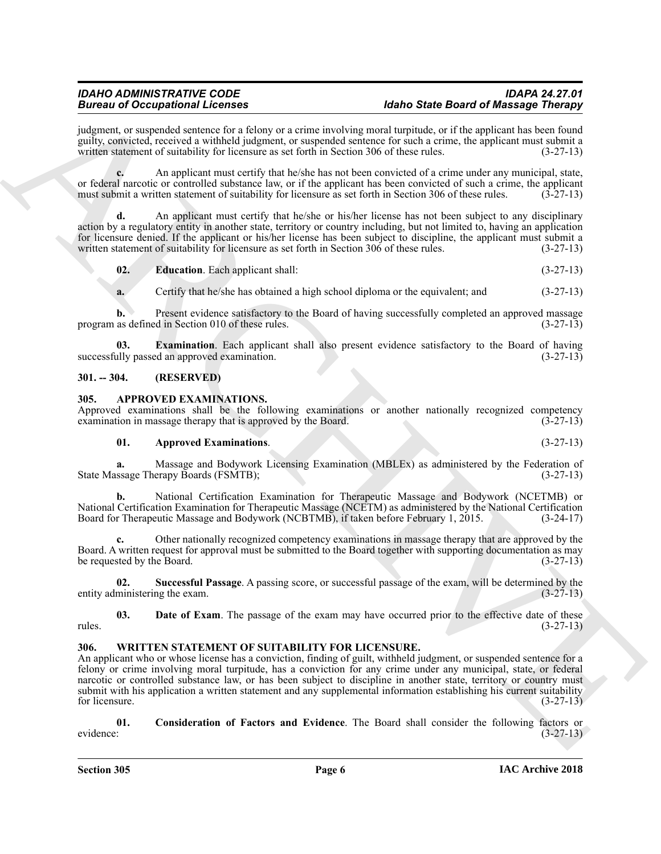judgment, or suspended sentence for a felony or a crime involving moral turpitude, or if the applicant has been found guilty, convicted, received a withheld judgment, or suspended sentence for such a crime, the applicant must submit a written statement of suitability for licensure as set forth in Section 306 of these rules.

**c.** An applicant must certify that he/she has not been convicted of a crime under any municipal, state, or federal narcotic or controlled substance law, or if the applicant has been convicted of such a crime, the applicant must submit a written statement of suitability for licensure as set forth in Section 306 of these rules must submit a written statement of suitability for licensure as set forth in Section 306 of these rules.

**d.** An applicant must certify that he/she or his/her license has not been subject to any disciplinary action by a regulatory entity in another state, territory or country including, but not limited to, having an application for licensure denied. If the applicant or his/her license has been subject to discipline, the applicant must submit a written statement of suitability for licensure as set forth in Section 306 of these rules. (3-27-13)

<span id="page-5-6"></span>**02. Education**. Each applicant shall: (3-27-13)

<span id="page-5-7"></span>**a.** Certify that he/she has obtained a high school diploma or the equivalent; and  $(3-27-13)$ 

**b.** Present evidence satisfactory to the Board of having successfully completed an approved massage program as defined in Section 010 of these rules. (3-27-13)

**03. Examination**. Each applicant shall also present evidence satisfactory to the Board of having ally passed an approved examination. (3-27-13) successfully passed an approved examination.

#### <span id="page-5-0"></span>**301. -- 304. (RESERVED)**

#### <span id="page-5-3"></span><span id="page-5-1"></span>**305. APPROVED EXAMINATIONS.**

Approved examinations shall be the following examinations or another nationally recognized competency examination in massage therapy that is approved by the Board. (3-27-13) examination in massage therapy that is approved by the Board.

#### **01. Approved Examinations**. (3-27-13)

**a.** Massage and Bodywork Licensing Examination (MBLEx) as administered by the Federation of State Massage Therapy Boards (FSMTB); (3-27-13)

**b.** National Certification Examination for Therapeutic Massage and Bodywork (NCETMB) or National Certification Examination for Therapeutic Massage (NCETM) as administered by the National Certification Board for Therapeutic Massage and Bodywork (NCBTMB), if taken before February 1, 2015. (3-24-17)

**c.** Other nationally recognized competency examinations in massage therapy that are approved by the Board. A written request for approval must be submitted to the Board together with supporting documentation as may be requested by the Board.  $(3-27-13)$ 

<span id="page-5-5"></span>**02. Successful Passage**. A passing score, or successful passage of the exam, will be determined by the entity administering the exam.

<span id="page-5-4"></span>**03. Date of Exam**. The passage of the exam may have occurred prior to the effective date of these rules. (3-27-13)

#### <span id="page-5-8"></span><span id="page-5-2"></span>**306. WRITTEN STATEMENT OF SUITABILITY FOR LICENSURE.**

Beaches of Occupation Licensins control and the state and the district of Missingian Philadelphia (and the state and the state and the state and the state and the state and the state and the state and the state and the st An applicant who or whose license has a conviction, finding of guilt, withheld judgment, or suspended sentence for a felony or crime involving moral turpitude, has a conviction for any crime under any municipal, state, or federal narcotic or controlled substance law, or has been subject to discipline in another state, territory or country must submit with his application a written statement and any supplemental information establishing his current suitability for licensure.  $(3-27-13)$ 

<span id="page-5-9"></span>**01. Consideration of Factors and Evidence**. The Board shall consider the following factors or evidence: (3-27-13)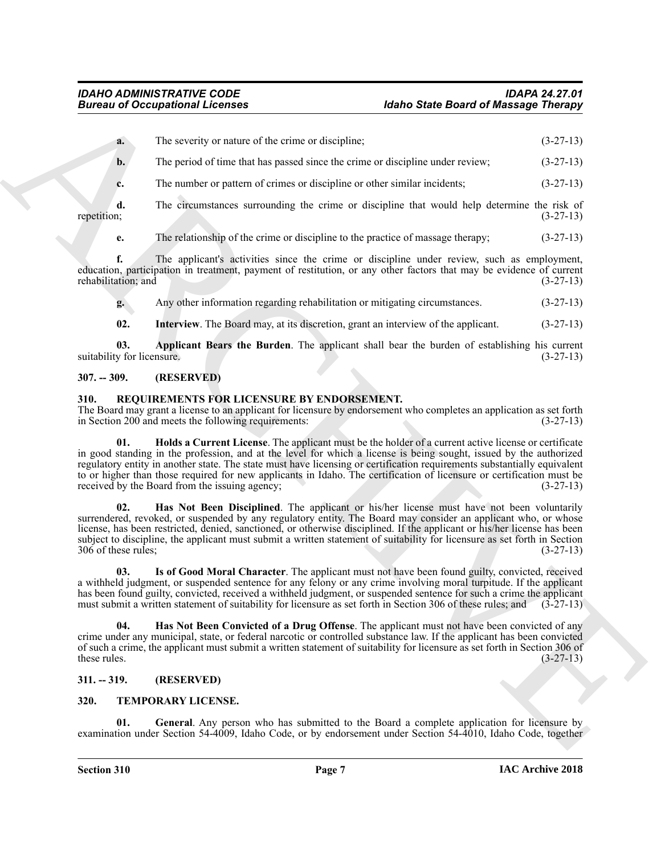|                                   | <b>Bureau of Occupational Licenses</b>                                                                                                                                                                                                                                                                                                                                                                                                                                                                                            | <b>Idaho State Board of Massage Therapy</b>                                                |                                                                                                              |
|-----------------------------------|-----------------------------------------------------------------------------------------------------------------------------------------------------------------------------------------------------------------------------------------------------------------------------------------------------------------------------------------------------------------------------------------------------------------------------------------------------------------------------------------------------------------------------------|--------------------------------------------------------------------------------------------|--------------------------------------------------------------------------------------------------------------|
| a.                                | The severity or nature of the crime or discipline;                                                                                                                                                                                                                                                                                                                                                                                                                                                                                |                                                                                            | $(3-27-13)$                                                                                                  |
| $b$ .                             | The period of time that has passed since the crime or discipline under review;                                                                                                                                                                                                                                                                                                                                                                                                                                                    |                                                                                            | $(3-27-13)$                                                                                                  |
| c.                                | The number or pattern of crimes or discipline or other similar incidents;                                                                                                                                                                                                                                                                                                                                                                                                                                                         |                                                                                            | $(3-27-13)$                                                                                                  |
| d.<br>repetition;                 | The circumstances surrounding the crime or discipline that would help determine the risk of                                                                                                                                                                                                                                                                                                                                                                                                                                       |                                                                                            | $(3-27-13)$                                                                                                  |
| e.                                | The relationship of the crime or discipline to the practice of massage therapy;                                                                                                                                                                                                                                                                                                                                                                                                                                                   |                                                                                            | $(3-27-13)$                                                                                                  |
| f.<br>rehabilitation; and         | The applicant's activities since the crime or discipline under review, such as employment,<br>education, participation in treatment, payment of restitution, or any other factors that may be evidence of current                                                                                                                                                                                                                                                                                                                 |                                                                                            | $(3-27-13)$                                                                                                  |
| g.                                | Any other information regarding rehabilitation or mitigating circumstances.                                                                                                                                                                                                                                                                                                                                                                                                                                                       |                                                                                            | $(3-27-13)$                                                                                                  |
| 02.                               | Interview. The Board may, at its discretion, grant an interview of the applicant.                                                                                                                                                                                                                                                                                                                                                                                                                                                 |                                                                                            | $(3-27-13)$                                                                                                  |
| 03.<br>suitability for licensure. | Applicant Bears the Burden. The applicant shall bear the burden of establishing his current                                                                                                                                                                                                                                                                                                                                                                                                                                       |                                                                                            | $(3-27-13)$                                                                                                  |
| $307. - 309.$                     | (RESERVED)                                                                                                                                                                                                                                                                                                                                                                                                                                                                                                                        |                                                                                            |                                                                                                              |
| 310.                              | REQUIREMENTS FOR LICENSURE BY ENDORSEMENT.<br>The Board may grant a license to an applicant for licensure by endorsement who completes an application as set forth<br>in Section 200 and meets the following requirements:                                                                                                                                                                                                                                                                                                        |                                                                                            | $(3-27-13)$                                                                                                  |
| 01.                               | Holds a Current License. The applicant must be the holder of a current active license or certificate<br>in good standing in the profession, and at the level for which a license is being sought, issued by the authorized<br>regulatory entity in another state. The state must have licensing or certification requirements substantially equivalent<br>to or higher than those required for new applicants in Idaho. The certification of licensure or certification must be<br>received by the Board from the issuing agency; |                                                                                            | $(3-27-13)$                                                                                                  |
| 02.<br>306 of these rules;        | Has Not Been Disciplined. The applicant or his/her license must have not been voluntarily<br>surrendered, revoked, or suspended by any regulatory entity. The Board may consider an applicant who, or whose<br>license, has been restricted, denied, sanctioned, or otherwise disciplined. If the applicant or his/her license has been<br>subject to discipline, the applicant must submit a written statement of suitability for licensure as set forth in Section                                                              |                                                                                            | $(3-27-13)$                                                                                                  |
| U3.                               | Is of Good Moral Character. The applicant must not have been found guilty, convicted, received<br>a withheld judgment, or suspended sentence for any felony or any crime involving moral turpitude. If the applicant<br>has been found guilty, convicted, received a withheld judgment, or suspended sentence for such a crime the applicant<br>must submit a written statement of suitability for licensure as set forth in Section 306 of these rules; and                                                                      |                                                                                            | $(3-27-13)$                                                                                                  |
| 04.<br>these rules.               | Has Not Been Convicted of a Drug Offense. The applicant must not have been convicted of any<br>crime under any municipal, state, or federal narcotic or controlled substance law. If the applicant has been convicted<br>of such a crime, the applicant must submit a written statement of suitability for licensure as set forth in Section 306 of                                                                                                                                                                               |                                                                                            | $(3-27-13)$                                                                                                  |
| $311. - 319.$                     | (RESERVED)                                                                                                                                                                                                                                                                                                                                                                                                                                                                                                                        |                                                                                            |                                                                                                              |
| 320.                              | TEMPORARY LICENSE.                                                                                                                                                                                                                                                                                                                                                                                                                                                                                                                |                                                                                            |                                                                                                              |
| 01.                               |                                                                                                                                                                                                                                                                                                                                                                                                                                                                                                                                   | General. Any person who has submitted to the Board a complete application for licensure by | examination under Section 54-4009, Idaho Code, or by endorsement under Section 54-4010, Idaho Code, together |

#### <span id="page-6-12"></span><span id="page-6-11"></span><span id="page-6-0"></span>**307. -- 309. (RESERVED)**

### <span id="page-6-7"></span><span id="page-6-6"></span><span id="page-6-4"></span><span id="page-6-1"></span>**310. REQUIREMENTS FOR LICENSURE BY ENDORSEMENT.**

#### <span id="page-6-8"></span><span id="page-6-5"></span><span id="page-6-2"></span>**311. -- 319. (RESERVED)**

#### <span id="page-6-10"></span><span id="page-6-9"></span><span id="page-6-3"></span>**320. TEMPORARY LICENSE.**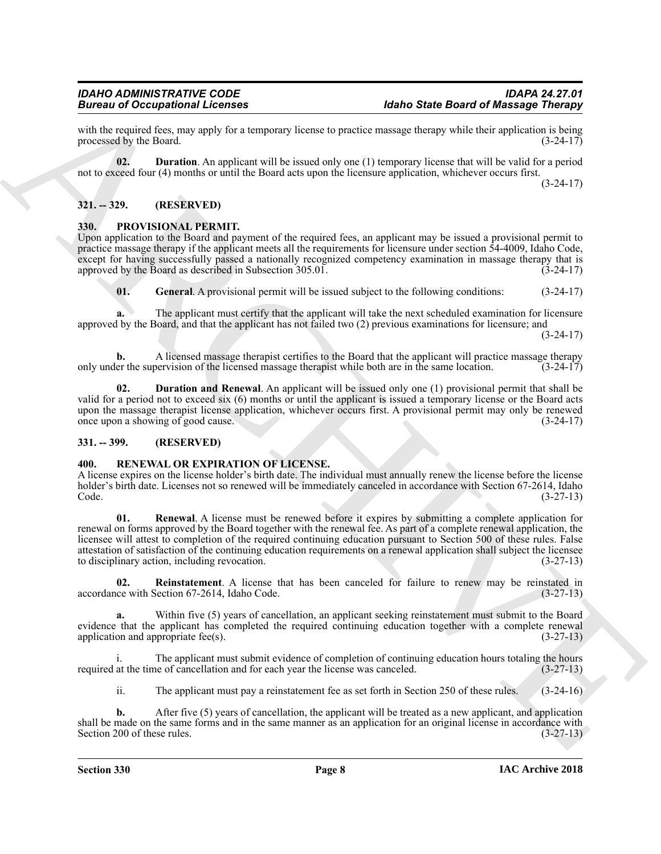with the required fees, may apply for a temporary license to practice massage therapy while their application is being<br>(3-24-17) (3-24-17) processed by the Board.

<span id="page-7-10"></span>**02. Duration**. An applicant will be issued only one (1) temporary license that will be valid for a period not to exceed four (4) months or until the Board acts upon the licensure application, whichever occurs first.

(3-24-17)

### <span id="page-7-0"></span>**321. -- 329. (RESERVED)**

#### <span id="page-7-4"></span><span id="page-7-1"></span>**330. PROVISIONAL PERMIT.**

Upon application to the Board and payment of the required fees, an applicant may be issued a provisional permit to practice massage therapy if the applicant meets all the requirements for licensure under section 54-4009, Idaho Code, except for having successfully passed a nationally recognized competency examination in massage therapy that is approved by the Board as described in Subsection  $305.01$ . (3-24-17)

<span id="page-7-6"></span>**01. General**. A provisional permit will be issued subject to the following conditions: (3-24-17)

**a.** The applicant must certify that the applicant will take the next scheduled examination for licensure approved by the Board, and that the applicant has not failed two (2) previous examinations for licensure; and  $(3-24-17)$ 

**b.** A licensed massage therapist certifies to the Board that the applicant will practice massage therapy er the supervision of the licensed massage therapist while both are in the same location. (3-24-17) only under the supervision of the licensed massage therapist while both are in the same location.

<span id="page-7-5"></span>**02. Duration and Renewal**. An applicant will be issued only one (1) provisional permit that shall be valid for a period not to exceed six (6) months or until the applicant is issued a temporary license or the Board acts upon the massage therapist license application, whichever occurs first. A provisional permit may only be renewed<br>once upon a showing of good cause. (3-24-17) once upon a showing of good cause.

#### <span id="page-7-2"></span>**331. -- 399. (RESERVED)**

#### <span id="page-7-7"></span><span id="page-7-3"></span>**400. RENEWAL OR EXPIRATION OF LICENSE.**

<span id="page-7-9"></span>A license expires on the license holder's birth date. The individual must annually renew the license before the license holder's birth date. Licenses not so renewed will be immediately canceled in accordance with Section 67-2614, Idaho<br>(3-27-13) Code. (3-27-13)

Given to Coccaption and the transformation of the transformation of the Basic Basic Basic Basic Basic Basic Basic Basic Basic Basic Basic Basic Basic Basic Basic Basic Basic Basic Basic Basic Basic Basic Basic Basic Basic **01. Renewal**. A license must be renewed before it expires by submitting a complete application for renewal on forms approved by the Board together with the renewal fee. As part of a complete renewal application, the licensee will attest to completion of the required continuing education pursuant to Section 500 of these rules. False attestation of satisfaction of the continuing education requirements on a renewal application shall subject the licensee to disciplinary action, including revocation. (3-27-13)

<span id="page-7-8"></span>**02.** Reinstatement. A license that has been canceled for failure to renew may be reinstated in (3-27-13) (3-27-13) accordance with Section 67-2614, Idaho Code.

**a.** Within five (5) years of cancellation, an applicant seeking reinstatement must submit to the Board evidence that the applicant has completed the required continuing education together with a complete renewal application and appropriate fee(s). (3-27-13)

The applicant must submit evidence of completion of continuing education hours totaling the hours required at the time of cancellation and for each year the license was canceled. (3-27-13)

ii. The applicant must pay a reinstatement fee as set forth in Section 250 of these rules. (3-24-16)

**b.** After five (5) years of cancellation, the applicant will be treated as a new applicant, and application shall be made on the same forms and in the same manner as an application for an original license in accordance with Section 200 of these rules. (3-27-13)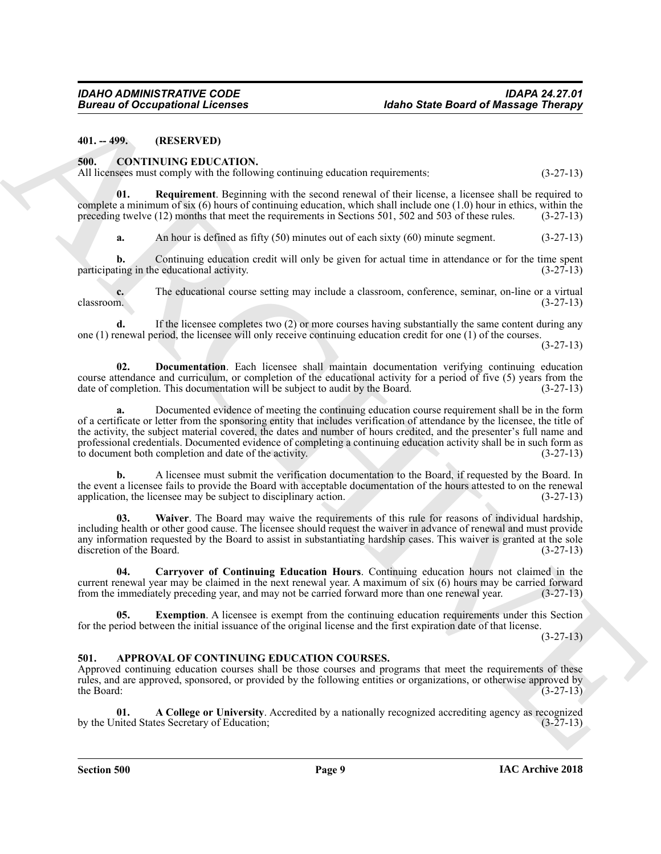<span id="page-8-0"></span>**401. -- 499. (RESERVED)**

#### <span id="page-8-5"></span><span id="page-8-1"></span>**500. CONTINUING EDUCATION.**

All licensees must comply with the following continuing education requirements: (3-27-13)

**01. Requirement**. Beginning with the second renewal of their license, a licensee shall be required to complete a minimum of six (6) hours of continuing education, which shall include one (1.0) hour in ethics, within the preceding twelve (12) months that meet the requirements in Sections 501, 502 and 503 of these rules. (3-27-13)

<span id="page-8-9"></span>**a.** An hour is defined as fifty (50) minutes out of each sixty (60) minute segment. (3-27-13)

**b.** Continuing education credit will only be given for actual time in attendance or for the time spent participating in the educational activity. (3-27-13)

**c.** The educational course setting may include a classroom, conference, seminar, on-line or a virtual classroom.  $(3-27-13)$ classroom. (3-27-13)

**d.** If the licensee completes two (2) or more courses having substantially the same content during any one (1) renewal period, the licensee will only receive continuing education credit for one (1) of the courses.

(3-27-13)

<span id="page-8-7"></span>**02. Documentation**. Each licensee shall maintain documentation verifying continuing education course attendance and curriculum, or completion of the educational activity for a period of five (5) years from the date of completion. This documentation will be subject to audit by the Board. (3-27-13) date of completion. This documentation will be subject to audit by the Board.

**Europe of Occupations I. February 1998**<br>
46the Based of Maximige Christian (1998)<br>
411. COVIETNIUS CIPIC CATION.<br>
ARCHIVE CONTINUS CIPIC CATION.<br>
ARCHIVE CONTINUS CIPIC CATION.<br>
41. Requirement Beginning value into a mor **a.** Documented evidence of meeting the continuing education course requirement shall be in the form of a certificate or letter from the sponsoring entity that includes verification of attendance by the licensee, the title of the activity, the subject material covered, the dates and number of hours credited, and the presenter's full name and professional credentials. Documented evidence of completing a continuing education activity shall be in such form as to document both completion and date of the activity. (3-27-13) to document both completion and date of the activity.

**b.** A licensee must submit the verification documentation to the Board, if requested by the Board. In the event a licensee fails to provide the Board with acceptable documentation of the hours attested to on the renewal application, the licensee may be subject to disciplinary action. (3-27-13) application, the licensee may be subject to disciplinary action.

<span id="page-8-10"></span>**03. Waiver**. The Board may waive the requirements of this rule for reasons of individual hardship, including health or other good cause. The licensee should request the waiver in advance of renewal and must provide any information requested by the Board to assist in substantiating hardship cases. This waiver is granted at the sole discretion of the Board. (3-27-13) discretion of the Board.

<span id="page-8-6"></span>**04. Carryover of Continuing Education Hours**. Continuing education hours not claimed in the current renewal year may be claimed in the next renewal year. A maximum of six (6) hours may be carried forward from the immediately preceding year, and may not be carried forward more than one renewal year. (3-27-13)

<span id="page-8-8"></span>**05.** Exemption. A licensee is exempt from the continuing education requirements under this Section for the period between the initial issuance of the original license and the first expiration date of that license.

(3-27-13)

#### <span id="page-8-3"></span><span id="page-8-2"></span>**501. APPROVAL OF CONTINUING EDUCATION COURSES.**

Approved continuing education courses shall be those courses and programs that meet the requirements of these rules, and are approved, sponsored, or provided by the following entities or organizations, or otherwise approved by the Board:  $(3-27-13)$ 

<span id="page-8-4"></span>**01. A College or University**. Accredited by a nationally recognized accrediting agency as recognized by the United States Secretary of Education;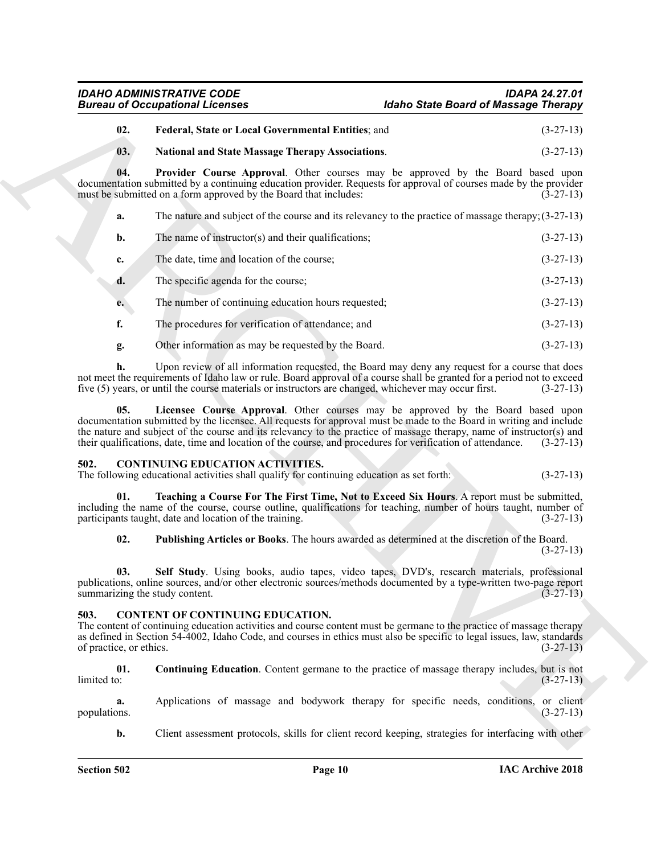# *IDAHO ADMINISTRATIVE CODE IDAPA 24.27.01 Idaho State Board of Massage Therapy*

# <span id="page-9-2"></span>**02. Federal, State or Local Governmental Entities**; and (3-27-13)

#### <span id="page-9-5"></span><span id="page-9-4"></span>**03. National and State Massage Therapy Associations**. (3-27-13)

**04. Provider Course Approval**. Other courses may be approved by the Board based upon documentation submitted by a continuing education provider. Requests for approval of courses made by the provider must be submitted on a form approved by the Board that includes: (3-27-13) must be submitted on a form approved by the Board that includes:

| а. | The nature and subject of the course and its relevancy to the practice of massage therapy; $(3-27-13)$ |  |  |
|----|--------------------------------------------------------------------------------------------------------|--|--|
|----|--------------------------------------------------------------------------------------------------------|--|--|

- **b.** The name of instructor(s) and their qualifications; (3-27-13)
- **c.** The date, time and location of the course; (3-27-13)
- **d.** The specific agenda for the course; (3-27-13)
- **e.** The number of continuing education hours requested; (3-27-13)
- **f.** The procedures for verification of attendance; and  $(3-27-13)$
- <span id="page-9-3"></span>**g.** Other information as may be requested by the Board. (3-27-13)

**h.** Upon review of all information requested, the Board may deny any request for a course that does not meet the requirements of Idaho law or rule. Board approval of a course shall be granted for a period not to exceed five (5) years, or until the course materials or instructors are changed, whichever may occur first. (3-27-13)

Given to Occupiesian is the set of the term of the set of the set of the set of the set of the set of the set of the set of the set of the set of the set of the set of the set of the set of the set of the set of the set o **05. Licensee Course Approval**. Other courses may be approved by the Board based upon documentation submitted by the licensee. All requests for approval must be made to the Board in writing and include the nature and subject of the course and its relevancy to the practice of massage therapy, name of instructor(s) and their qualifications, date, time and location of the course, and procedures for verification of attendance. (3-27-13)

#### <span id="page-9-8"></span><span id="page-9-0"></span>**502. CONTINUING EDUCATION ACTIVITIES.**

The following educational activities shall qualify for continuing education as set forth: (3-27-13)

**01. Teaching a Course For The First Time, Not to Exceed Six Hours**. A report must be submitted, including the name of the course, course outline, qualifications for teaching, number of hours taught, number of participants taught, date and location of the training. (3-27-13)

<span id="page-9-11"></span><span id="page-9-10"></span><span id="page-9-9"></span>**02. Publishing Articles or Books**. The hours awarded as determined at the discretion of the Board. (3-27-13)

**03. Self Study**. Using books, audio tapes, video tapes, DVD's, research materials, professional publications, online sources, and/or other electronic sources/methods documented by a type-written two-page report summarizing the study content. summarizing the study content.

### <span id="page-9-6"></span><span id="page-9-1"></span>**503. CONTENT OF CONTINUING EDUCATION.**

The content of continuing education activities and course content must be germane to the practice of massage therapy as defined in Section 54-4002, Idaho Code, and courses in ethics must also be specific to legal issues, law, standards of practice, or ethics. (3-27-13) of practice, or ethics.

<span id="page-9-7"></span>**01.** Continuing Education. Content germane to the practice of massage therapy includes, but is not limited to:  $\text{limited to:} \tag{3-27-13}$ 

**a.** Applications of massage and bodywork therapy for specific needs, conditions, or client (3-27-13) populations.

**b.** Client assessment protocols, skills for client record keeping, strategies for interfacing with other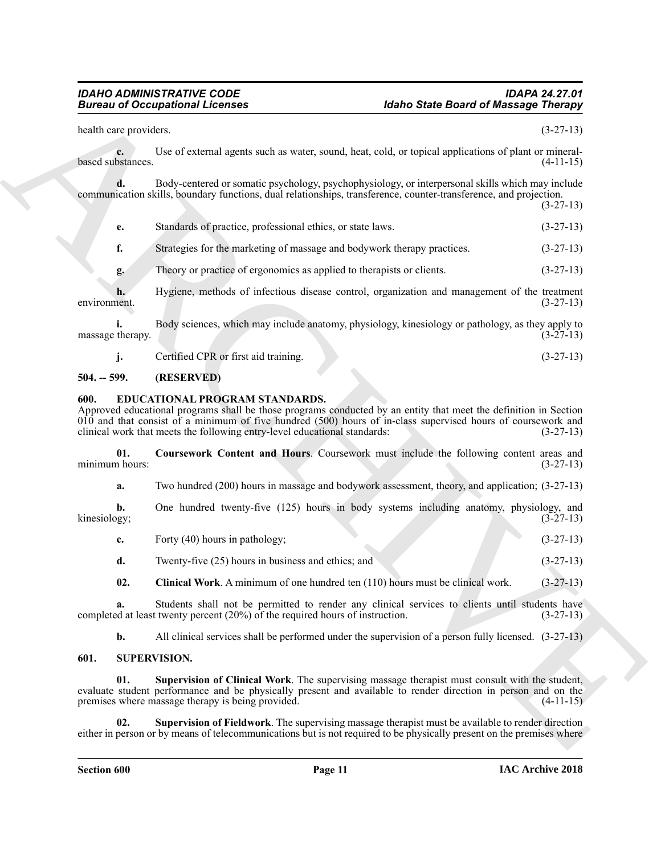|                         | <b>Bureau of Occupational Licenses</b><br><b>Idaho State Board of Massage Therapy</b>                                                                                                                                                                                                                                                               |                                                          |
|-------------------------|-----------------------------------------------------------------------------------------------------------------------------------------------------------------------------------------------------------------------------------------------------------------------------------------------------------------------------------------------------|----------------------------------------------------------|
| health care providers.  |                                                                                                                                                                                                                                                                                                                                                     | $(3-27-13)$                                              |
| c.<br>based substances. | Use of external agents such as water, sound, heat, cold, or topical applications of plant or mineral-                                                                                                                                                                                                                                               | $(4-11-15)$                                              |
|                         | Body-centered or somatic psychology, psychophysiology, or interpersonal skills which may include<br>communication skills, boundary functions, dual relationships, transference, counter-transference, and projection.                                                                                                                               | $(3-27-13)$                                              |
| е.                      | Standards of practice, professional ethics, or state laws.                                                                                                                                                                                                                                                                                          | $(3-27-13)$                                              |
| f.                      | Strategies for the marketing of massage and bodywork therapy practices.                                                                                                                                                                                                                                                                             | $(3-27-13)$                                              |
| g.                      | Theory or practice of ergonomics as applied to therapists or clients.                                                                                                                                                                                                                                                                               | $(3-27-13)$                                              |
| environment.            | Hygiene, methods of infectious disease control, organization and management of the treatment                                                                                                                                                                                                                                                        | $(3-27-13)$                                              |
| massage therapy.        | Body sciences, which may include anatomy, physiology, kinesiology or pathology, as they apply to                                                                                                                                                                                                                                                    | $(3-27-13)$                                              |
| j.                      | Certified CPR or first aid training.                                                                                                                                                                                                                                                                                                                | $(3-27-13)$                                              |
| $504. - 599.$           | (RESERVED)                                                                                                                                                                                                                                                                                                                                          |                                                          |
| 600.                    | EDUCATIONAL PROGRAM STANDARDS.<br>Approved educational programs shall be those programs conducted by an entity that meet the definition in Section<br>$010$ and that consist of a minimum of five hundred $(500)$ hours of in-class supervised hours of coursework and<br>clinical work that meets the following entry-level educational standards: | $(3-27-13)$                                              |
| 01.                     | Coursework Content and Hours. Coursework must include the following content areas and                                                                                                                                                                                                                                                               |                                                          |
| minimum hours:          |                                                                                                                                                                                                                                                                                                                                                     |                                                          |
| a.                      | Two hundred (200) hours in massage and bodywork assessment, theory, and application; (3-27-13)                                                                                                                                                                                                                                                      |                                                          |
| b.<br>kinesiology;      | One hundred twenty-five (125) hours in body systems including anatomy, physiology, and                                                                                                                                                                                                                                                              |                                                          |
| c.                      | Forty (40) hours in pathology;                                                                                                                                                                                                                                                                                                                      |                                                          |
| d.                      | Twenty-five (25) hours in business and ethics; and                                                                                                                                                                                                                                                                                                  | $(3-27-13)$                                              |
| 02.                     | Clinical Work. A minimum of one hundred ten (110) hours must be clinical work.                                                                                                                                                                                                                                                                      | $(3-27-13)$                                              |
| a.                      | Students shall not be permitted to render any clinical services to clients until students have<br>completed at least twenty percent (20%) of the required hours of instruction.                                                                                                                                                                     |                                                          |
| b.                      | All clinical services shall be performed under the supervision of a person fully licensed. $(3-27-13)$                                                                                                                                                                                                                                              | $(3-27-13)$<br>$(3-27-13)$<br>$(3-27-13)$<br>$(3-27-13)$ |
| 601.                    | <b>SUPERVISION.</b>                                                                                                                                                                                                                                                                                                                                 |                                                          |
| 01.                     | Supervision of Clinical Work. The supervising massage therapist must consult with the student,<br>evaluate student performance and be physically present and available to render direction in person and on the<br>premises where massage therapy is being provided.                                                                                | $(4-11-15)$                                              |

#### <span id="page-10-0"></span>**504. -- 599. (RESERVED)**

#### <span id="page-10-5"></span><span id="page-10-3"></span><span id="page-10-1"></span>**600. EDUCATIONAL PROGRAM STANDARDS.**

<span id="page-10-4"></span>

| Forty (40) hours in pathology; |  | $(3-27-13)$ |
|--------------------------------|--|-------------|
|                                |  |             |

#### <span id="page-10-8"></span><span id="page-10-7"></span><span id="page-10-6"></span><span id="page-10-2"></span>**601. SUPERVISION.**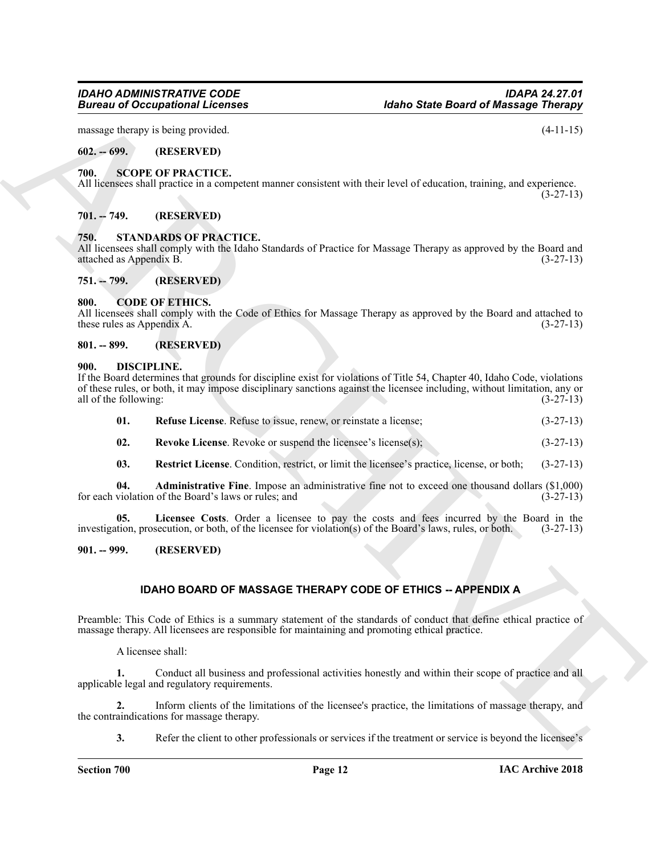massage therapy is being provided. (4-11-15)

<span id="page-11-0"></span>**602. -- 699. (RESERVED)**

#### <span id="page-11-16"></span><span id="page-11-1"></span>**700. SCOPE OF PRACTICE.**

All licensees shall practice in a competent manner consistent with their level of education, training, and experience. (3-27-13)

#### <span id="page-11-17"></span><span id="page-11-2"></span>**701. -- 749. (RESERVED)**

#### <span id="page-11-3"></span>**750. STANDARDS OF PRACTICE.**

All licensees shall comply with the Idaho Standards of Practice for Massage Therapy as approved by the Board and attached as Appendix B. (3-27-13) attached as Appendix B.

<span id="page-11-4"></span>**751. -- 799. (RESERVED)**

#### <span id="page-11-9"></span><span id="page-11-5"></span>**800. CODE OF ETHICS.**

All licensees shall comply with the Code of Ethics for Massage Therapy as approved by the Board and attached to these rules as Appendix A.  $(3-27-13)$ 

#### <span id="page-11-6"></span>**801. -- 899. (RESERVED)**

#### <span id="page-11-10"></span><span id="page-11-7"></span>**900. DISCIPLINE.**

**Electric and CORRESPONDENT (External Scheme Constrained Scheme Constrained Scheme Constrained Scheme Constrained Scheme Constrained Scheme Constrained Scheme Constrained Scheme Constrained Scheme Constrained Scheme Const** If the Board determines that grounds for discipline exist for violations of Title 54, Chapter 40, Idaho Code, violations of these rules, or both, it may impose disciplinary sanctions against the licensee including, without limitation, any or all of the following: (3-27-13) all of the following:

<span id="page-11-13"></span>

| 01. |  |  | <b>Refuse License.</b> Refuse to issue, renew, or reinstate a license: | $(3-27-13)$ |
|-----|--|--|------------------------------------------------------------------------|-------------|
|-----|--|--|------------------------------------------------------------------------|-------------|

- <span id="page-11-15"></span>**02.** Revoke License. Revoke or suspend the licensee's license(s); (3-27-13)
- <span id="page-11-14"></span><span id="page-11-12"></span><span id="page-11-11"></span>**03. Restrict License**. Condition, restrict, or limit the licensee's practice, license, or both; (3-27-13)

**04. Administrative Fine**. Impose an administrative fine not to exceed one thousand dollars (\$1,000) for each violation of the Board's laws or rules; and

**05. Licensee Costs**. Order a licensee to pay the costs and fees incurred by the Board in the investigation, prosecution, or both, of the licensee for violation(s) of the Board's laws, rules, or both. (3-27-13)

<span id="page-11-8"></span>**901. -- 999. (RESERVED)**

# **IDAHO BOARD OF MASSAGE THERAPY CODE OF ETHICS -- APPENDIX A**

Preamble: This Code of Ethics is a summary statement of the standards of conduct that define ethical practice of massage therapy. All licensees are responsible for maintaining and promoting ethical practice.

A licensee shall:

**1.** Conduct all business and professional activities honestly and within their scope of practice and all applicable legal and regulatory requirements.

**2.** Inform clients of the limitations of the licensee's practice, the limitations of massage therapy, and the contraindications for massage therapy.

**3.** Refer the client to other professionals or services if the treatment or service is beyond the licensee's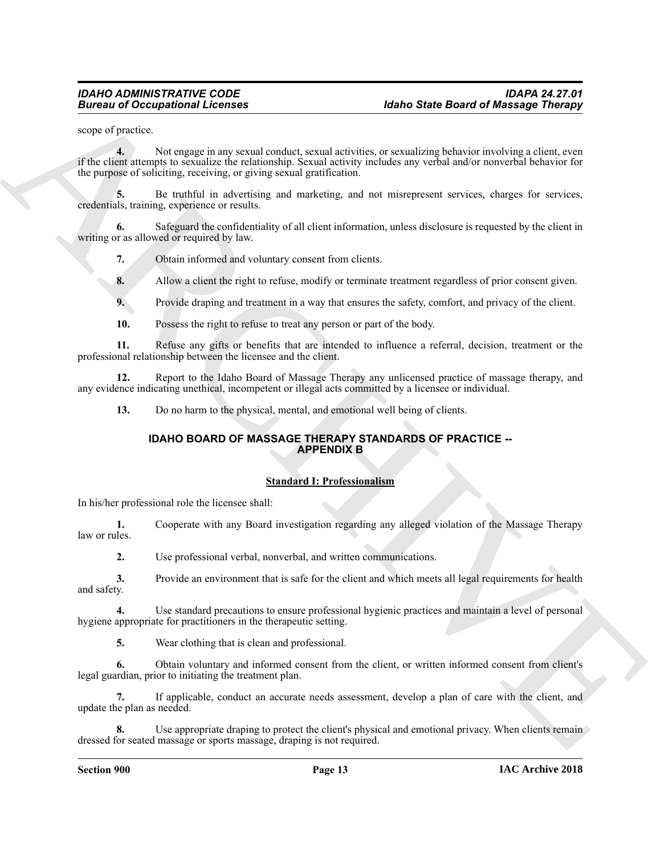scope of practice.

**Example 20** Conceptional Licenses<br>
Survey of productions and the state of the state of the state of the state of the state of the state of the state<br>  $\frac{1}{2}$  is a state of statistical results that the state and publish **4.** Not engage in any sexual conduct, sexual activities, or sexualizing behavior involving a client, even if the client attempts to sexualize the relationship. Sexual activity includes any verbal and/or nonverbal behavior for the purpose of soliciting, receiving, or giving sexual gratification.

**5.** Be truthful in advertising and marketing, and not misrepresent services, charges for services, credentials, training, experience or results.

**6.** Safeguard the confidentiality of all client information, unless disclosure is requested by the client in writing or as allowed or required by law.

**7.** Obtain informed and voluntary consent from clients.

**8.** Allow a client the right to refuse, modify or terminate treatment regardless of prior consent given.

**9.** Provide draping and treatment in a way that ensures the safety, comfort, and privacy of the client.

**10.** Possess the right to refuse to treat any person or part of the body.

**11.** Refuse any gifts or benefits that are intended to influence a referral, decision, treatment or the professional relationship between the licensee and the client.

**12.** Report to the Idaho Board of Massage Therapy any unlicensed practice of massage therapy, and any evidence indicating unethical, incompetent or illegal acts committed by a licensee or individual.

**13.** Do no harm to the physical, mental, and emotional well being of clients.

#### **IDAHO BOARD OF MASSAGE THERAPY STANDARDS OF PRACTICE -- APPENDIX B**

#### **Standard I: Professionalism**

In his/her professional role the licensee shall:

**1.** Cooperate with any Board investigation regarding any alleged violation of the Massage Therapy law or rules.

**2.** Use professional verbal, nonverbal, and written communications.

**3.** Provide an environment that is safe for the client and which meets all legal requirements for health and safety.

**4.** Use standard precautions to ensure professional hygienic practices and maintain a level of personal hygiene appropriate for practitioners in the therapeutic setting.

**5.** Wear clothing that is clean and professional.

**6.** Obtain voluntary and informed consent from the client, or written informed consent from client's legal guardian, prior to initiating the treatment plan.

**7.** If applicable, conduct an accurate needs assessment, develop a plan of care with the client, and update the plan as needed.

**8.** Use appropriate draping to protect the client's physical and emotional privacy. When clients remain dressed for seated massage or sports massage, draping is not required.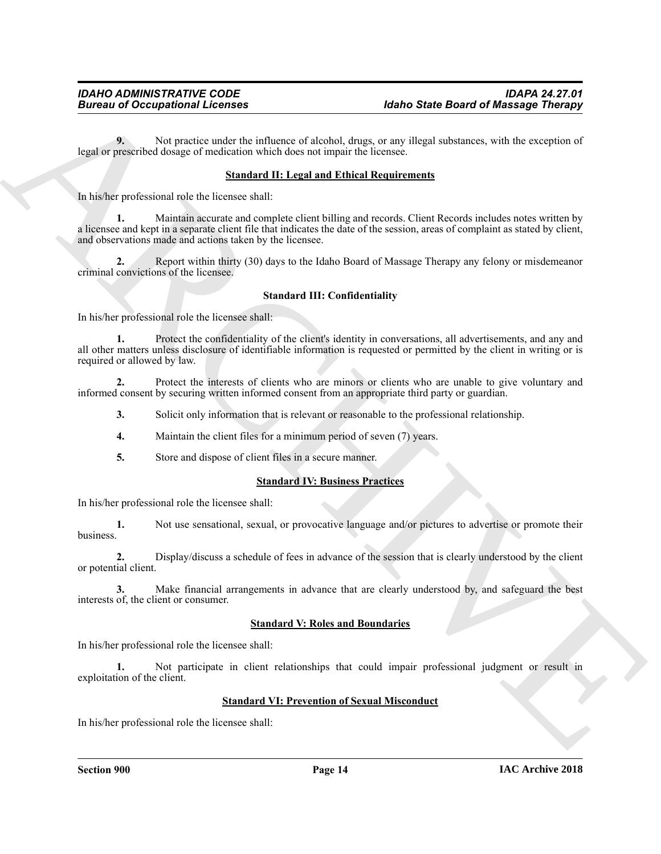**9.** Not practice under the influence of alcohol, drugs, or any illegal substances, with the exception of legal or prescribed dosage of medication which does not impair the licensee.

#### **Standard II: Legal and Ethical Requirements**

In his/her professional role the licensee shall:

Given to Occupations I Leonies (and the state of the state of the state of Maximige Theory<br>
Legislate processes the product on collision of the state of the state of the state of the state of the state of the state of the **1.** Maintain accurate and complete client billing and records. Client Records includes notes written by a licensee and kept in a separate client file that indicates the date of the session, areas of complaint as stated by client, and observations made and actions taken by the licensee.

**2.** Report within thirty (30) days to the Idaho Board of Massage Therapy any felony or misdemeanor criminal convictions of the licensee.

#### **Standard III: Confidentiality**

In his/her professional role the licensee shall:

**1.** Protect the confidentiality of the client's identity in conversations, all advertisements, and any and all other matters unless disclosure of identifiable information is requested or permitted by the client in writing or is required or allowed by law.

**2.** Protect the interests of clients who are minors or clients who are unable to give voluntary and informed consent by securing written informed consent from an appropriate third party or guardian.

**3.** Solicit only information that is relevant or reasonable to the professional relationship.

- **4.** Maintain the client files for a minimum period of seven (7) years.
- **5.** Store and dispose of client files in a secure manner.

#### **Standard IV: Business Practices**

In his/her professional role the licensee shall:

**1.** Not use sensational, sexual, or provocative language and/or pictures to advertise or promote their business.

**2.** Display/discuss a schedule of fees in advance of the session that is clearly understood by the client or potential client.

**3.** Make financial arrangements in advance that are clearly understood by, and safeguard the best interests of, the client or consumer.

#### **Standard V: Roles and Boundaries**

In his/her professional role the licensee shall:

**1.** Not participate in client relationships that could impair professional judgment or result in exploitation of the client.

### **Standard VI: Prevention of Sexual Misconduct**

In his/her professional role the licensee shall: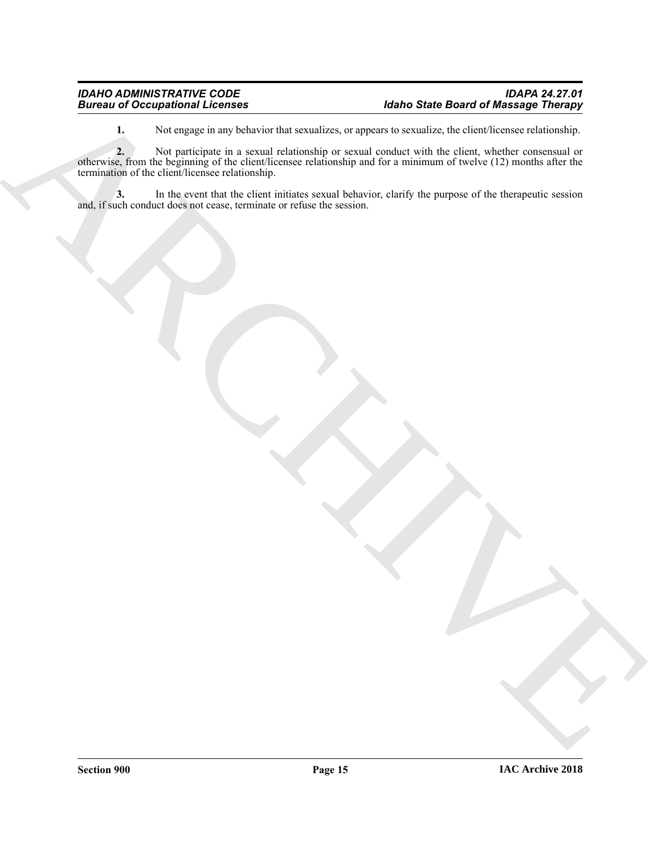**1.** Not engage in any behavior that sexualizes, or appears to sexualize, the client/licensee relationship.

Buriard of Conceptibility Lebends<br>
1. We can be studied to the formula conduction of the conduction of the studied of the studies of the studies of the studies of the studies of the studies of the studies of the studies of **2.** Not participate in a sexual relationship or sexual conduct with the client, whether consensual or otherwise, from the beginning of the client/licensee relationship and for a minimum of twelve (12) months after the termination of the client/licensee relationship.

**3.** In the event that the client initiates sexual behavior, clarify the purpose of the therapeutic session and, if such conduct does not cease, terminate or refuse the session.